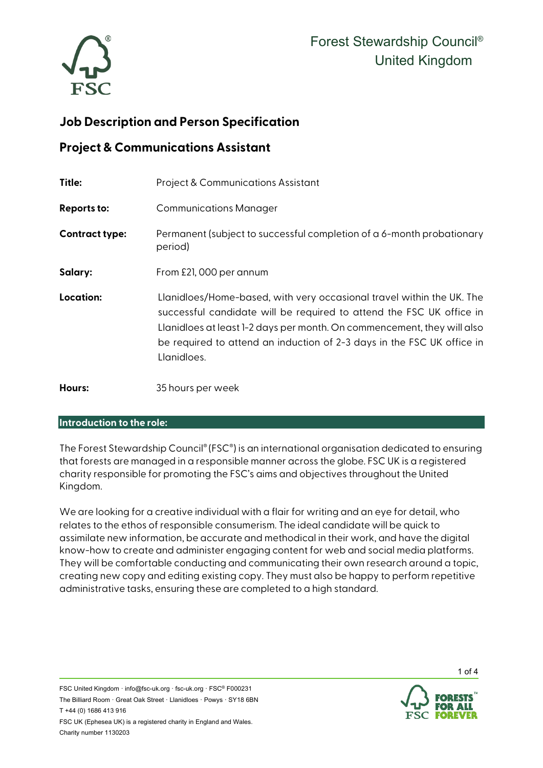

## **Job Description and Person Specification**

### **Project & Communications Assistant**

| Title:                | <b>Project &amp; Communications Assistant</b>                                                                                                                                                                                                                                                                     |
|-----------------------|-------------------------------------------------------------------------------------------------------------------------------------------------------------------------------------------------------------------------------------------------------------------------------------------------------------------|
| <b>Reports to:</b>    | <b>Communications Manager</b>                                                                                                                                                                                                                                                                                     |
| <b>Contract type:</b> | Permanent (subject to successful completion of a 6-month probationary<br>period)                                                                                                                                                                                                                                  |
| Salary:               | From £21,000 per annum                                                                                                                                                                                                                                                                                            |
| Location:             | Llanidloes/Home-based, with very occasional travel within the UK. The<br>successful candidate will be required to attend the FSC UK office in<br>Llanidloes at least 1-2 days per month. On commencement, they will also<br>be required to attend an induction of 2-3 days in the FSC UK office in<br>Llanidloes. |
| Hours:                | 35 hours per week                                                                                                                                                                                                                                                                                                 |

#### **Introduction to the role:**

The Forest Stewardship Council® (FSC®) is an international organisation dedicated to ensuring that forests are managed in a responsible manner across the globe. FSC UK is a registered charity responsible for promoting the FSC's aims and objectives throughout the United Kingdom.

We are looking for a creative individual with a flair for writing and an eye for detail, who relates to the ethos of responsible consumerism. The ideal candidate will be quick to assimilate new information, be accurate and methodical in their work, and have the digital know-how to create and administer engaging content for web and social media platforms. They will be comfortable conducting and communicating their own research around a topic, creating new copy and editing existing copy. They must also be happy to perform repetitive administrative tasks, ensuring these are completed to a high standard.



1 of 4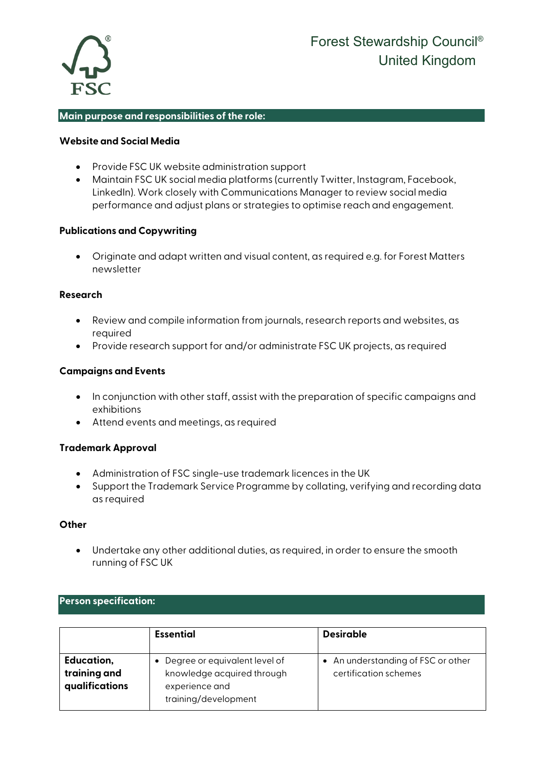

#### **Main purpose and responsibilities of the role:**

#### **Website and Social Media**

- Provide FSC UK website administration support
- Maintain FSC UK social media platforms (currently Twitter, Instagram, Facebook, LinkedIn). Work closely with Communications Manager to review social media performance and adjust plans or strategies to optimise reach and engagement.

#### **Publications and Copywriting**

• Originate and adapt written and visual content, as required e.g. for Forest Matters newsletter

#### **Research**

- Review and compile information from journals, research reports and websites, as required
- Provide research support for and/or administrate FSC UK projects, as required

#### **Campaigns and Events**

- In conjunction with other staff, assist with the preparation of specific campaigns and exhibitions
- Attend events and meetings, as required

#### **Trademark Approval**

- Administration of FSC single-use trademark licences in the UK
- Support the Trademark Service Programme by collating, verifying and recording data as required

#### **Other**

• Undertake any other additional duties, as required, in order to ensure the smooth running of FSC UK

#### **Person specification:**

|                                              | <b>Essential</b>                                                                                        | <b>Desirable</b>                                          |
|----------------------------------------------|---------------------------------------------------------------------------------------------------------|-----------------------------------------------------------|
| Education,<br>training and<br>qualifications | • Degree or equivalent level of<br>knowledge acquired through<br>experience and<br>training/development | An understanding of FSC or other<br>certification schemes |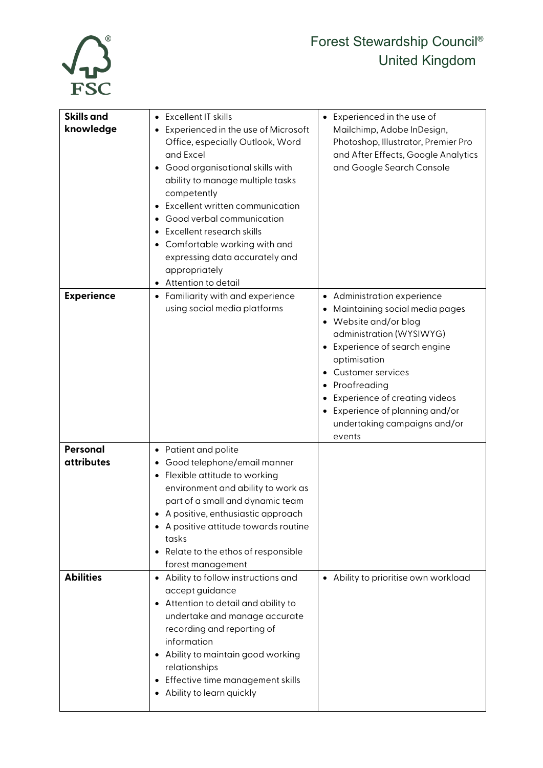

# Forest Stewardship Council® United Kingdom

| <b>Skills and</b><br>knowledge | • Excellent IT skills<br>Experienced in the use of Microsoft<br>Office, especially Outlook, Word<br>and Excel<br>Good organisational skills with<br>ability to manage multiple tasks<br>competently<br>Excellent written communication<br>Good verbal communication<br>• Excellent research skills                  | Experienced in the use of<br>$\bullet$<br>Mailchimp, Adobe InDesign,<br>Photoshop, Illustrator, Premier Pro<br>and After Effects, Google Analytics<br>and Google Search Console                                                                                                                                                                              |
|--------------------------------|---------------------------------------------------------------------------------------------------------------------------------------------------------------------------------------------------------------------------------------------------------------------------------------------------------------------|--------------------------------------------------------------------------------------------------------------------------------------------------------------------------------------------------------------------------------------------------------------------------------------------------------------------------------------------------------------|
|                                | Comfortable working with and<br>expressing data accurately and<br>appropriately<br>Attention to detail                                                                                                                                                                                                              |                                                                                                                                                                                                                                                                                                                                                              |
| <b>Experience</b>              | • Familiarity with and experience<br>using social media platforms                                                                                                                                                                                                                                                   | Administration experience<br>$\bullet$<br>Maintaining social media pages<br>Website and/or blog<br>$\bullet$<br>administration (WYSIWYG)<br>Experience of search engine<br>optimisation<br><b>Customer services</b><br>$\bullet$<br>Proofreading<br>Experience of creating videos<br>Experience of planning and/or<br>undertaking campaigns and/or<br>events |
| Personal<br><b>attributes</b>  | • Patient and polite<br>Good telephone/email manner<br>• Flexible attitude to working<br>environment and ability to work as<br>part of a small and dynamic team<br>A positive, enthusiastic approach<br>• A positive attitude towards routine<br>tasks<br>• Relate to the ethos of responsible<br>forest management |                                                                                                                                                                                                                                                                                                                                                              |
| <b>Abilities</b>               | Ability to follow instructions and<br>$\bullet$<br>accept guidance<br>• Attention to detail and ability to<br>undertake and manage accurate<br>recording and reporting of<br>information<br>Ability to maintain good working<br>relationships<br>• Effective time management skills<br>Ability to learn quickly     | • Ability to prioritise own workload                                                                                                                                                                                                                                                                                                                         |